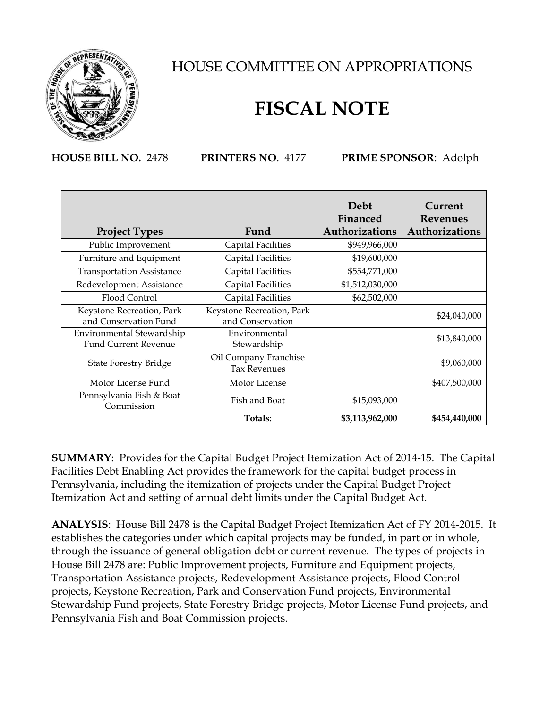

## HOUSE COMMITTEE ON APPROPRIATIONS

## **FISCAL NOTE**

**HOUSE BILL NO.** 2478 **PRINTERS NO**. 4177 **PRIME SPONSOR**: Adolph

|                                        |                           | Debt<br>Financed | Current<br>Revenues |
|----------------------------------------|---------------------------|------------------|---------------------|
| <b>Project Types</b>                   | Fund                      | Authorizations   | Authorizations      |
| Public Improvement                     | <b>Capital Facilities</b> | \$949,966,000    |                     |
| Furniture and Equipment                | Capital Facilities        | \$19,600,000     |                     |
| <b>Transportation Assistance</b>       | Capital Facilities        | \$554,771,000    |                     |
| Redevelopment Assistance               | Capital Facilities        | \$1,512,030,000  |                     |
| Flood Control                          | Capital Facilities        | \$62,502,000     |                     |
| Keystone Recreation, Park              | Keystone Recreation, Park |                  | \$24,040,000        |
| and Conservation Fund                  | and Conservation          |                  |                     |
| Environmental Stewardship              | Environmental             |                  |                     |
| <b>Fund Current Revenue</b>            | Stewardship               |                  | \$13,840,000        |
| <b>State Forestry Bridge</b>           | Oil Company Franchise     |                  |                     |
|                                        | <b>Tax Revenues</b>       |                  | \$9,060,000         |
| Motor License Fund                     | Motor License             |                  | \$407,500,000       |
| Pennsylvania Fish & Boat<br>Commission | Fish and Boat             | \$15,093,000     |                     |
|                                        | Totals:                   | \$3,113,962,000  | \$454,440,000       |

**SUMMARY**: Provides for the Capital Budget Project Itemization Act of 2014-15. The Capital Facilities Debt Enabling Act provides the framework for the capital budget process in Pennsylvania, including the itemization of projects under the Capital Budget Project Itemization Act and setting of annual debt limits under the Capital Budget Act.

**ANALYSIS**: House Bill 2478 is the Capital Budget Project Itemization Act of FY 2014-2015. It establishes the categories under which capital projects may be funded, in part or in whole, through the issuance of general obligation debt or current revenue. The types of projects in House Bill 2478 are: Public Improvement projects, Furniture and Equipment projects, Transportation Assistance projects, Redevelopment Assistance projects, Flood Control projects, Keystone Recreation, Park and Conservation Fund projects, Environmental Stewardship Fund projects, State Forestry Bridge projects, Motor License Fund projects, and Pennsylvania Fish and Boat Commission projects.